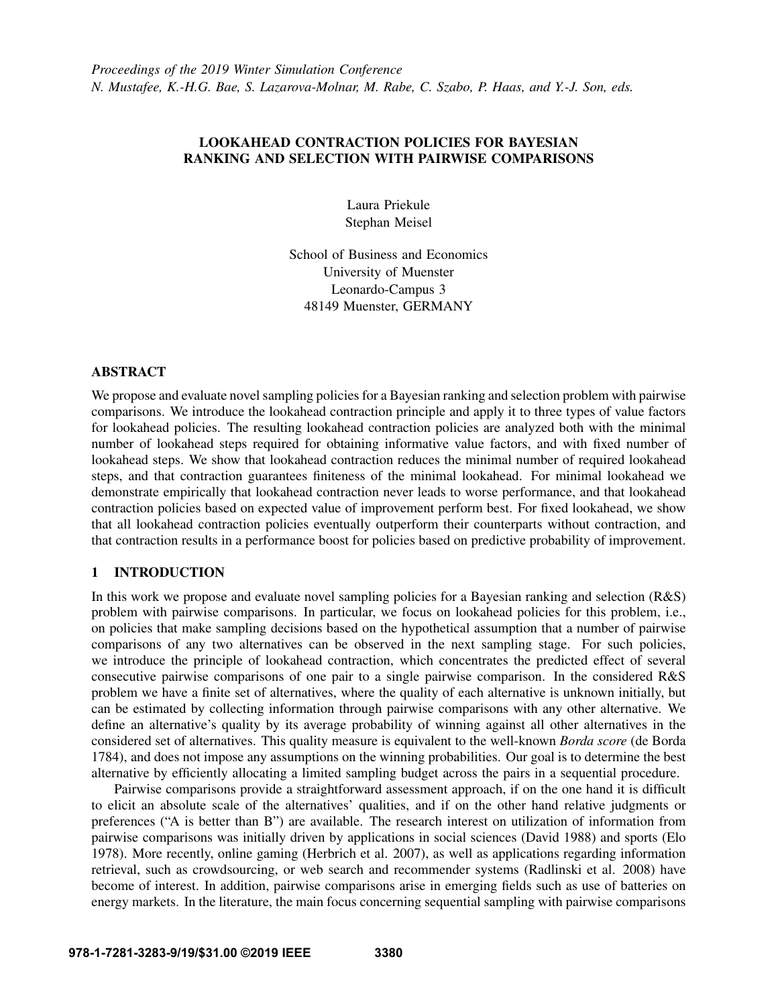# LOOKAHEAD CONTRACTION POLICIES FOR BAYESIAN RANKING AND SELECTION WITH PAIRWISE COMPARISONS

Laura Priekule Stephan Meisel

School of Business and Economics University of Muenster Leonardo-Campus 3 48149 Muenster, GERMANY

# ABSTRACT

We propose and evaluate novel sampling policies for a Bayesian ranking and selection problem with pairwise comparisons. We introduce the lookahead contraction principle and apply it to three types of value factors for lookahead policies. The resulting lookahead contraction policies are analyzed both with the minimal number of lookahead steps required for obtaining informative value factors, and with fixed number of lookahead steps. We show that lookahead contraction reduces the minimal number of required lookahead steps, and that contraction guarantees finiteness of the minimal lookahead. For minimal lookahead we demonstrate empirically that lookahead contraction never leads to worse performance, and that lookahead contraction policies based on expected value of improvement perform best. For fixed lookahead, we show that all lookahead contraction policies eventually outperform their counterparts without contraction, and that contraction results in a performance boost for policies based on predictive probability of improvement.

# 1 INTRODUCTION

In this work we propose and evaluate novel sampling policies for a Bayesian ranking and selection (R&S) problem with pairwise comparisons. In particular, we focus on lookahead policies for this problem, i.e., on policies that make sampling decisions based on the hypothetical assumption that a number of pairwise comparisons of any two alternatives can be observed in the next sampling stage. For such policies, we introduce the principle of lookahead contraction, which concentrates the predicted effect of several consecutive pairwise comparisons of one pair to a single pairwise comparison. In the considered R&S problem we have a finite set of alternatives, where the quality of each alternative is unknown initially, but can be estimated by collecting information through pairwise comparisons with any other alternative. We define an alternative's quality by its average probability of winning against all other alternatives in the considered set of alternatives. This quality measure is equivalent to the well-known *Borda score* [\(de Borda](#page-11-0) [1784\)](#page-11-0), and does not impose any assumptions on the winning probabilities. Our goal is to determine the best alternative by efficiently allocating a limited sampling budget across the pairs in a sequential procedure.

Pairwise comparisons provide a straightforward assessment approach, if on the one hand it is difficult to elicit an absolute scale of the alternatives' qualities, and if on the other hand relative judgments or preferences ("A is better than B") are available. The research interest on utilization of information from pairwise comparisons was initially driven by applications in social sciences [\(David 1988\)](#page-11-1) and sports [\(Elo](#page-11-2) [1978\)](#page-11-2). More recently, online gaming [\(Herbrich et al. 2007\)](#page-11-3), as well as applications regarding information retrieval, such as crowdsourcing, or web search and recommender systems [\(Radlinski et al. 2008\)](#page-11-4) have become of interest. In addition, pairwise comparisons arise in emerging fields such as use of batteries on energy markets. In the literature, the main focus concerning sequential sampling with pairwise comparisons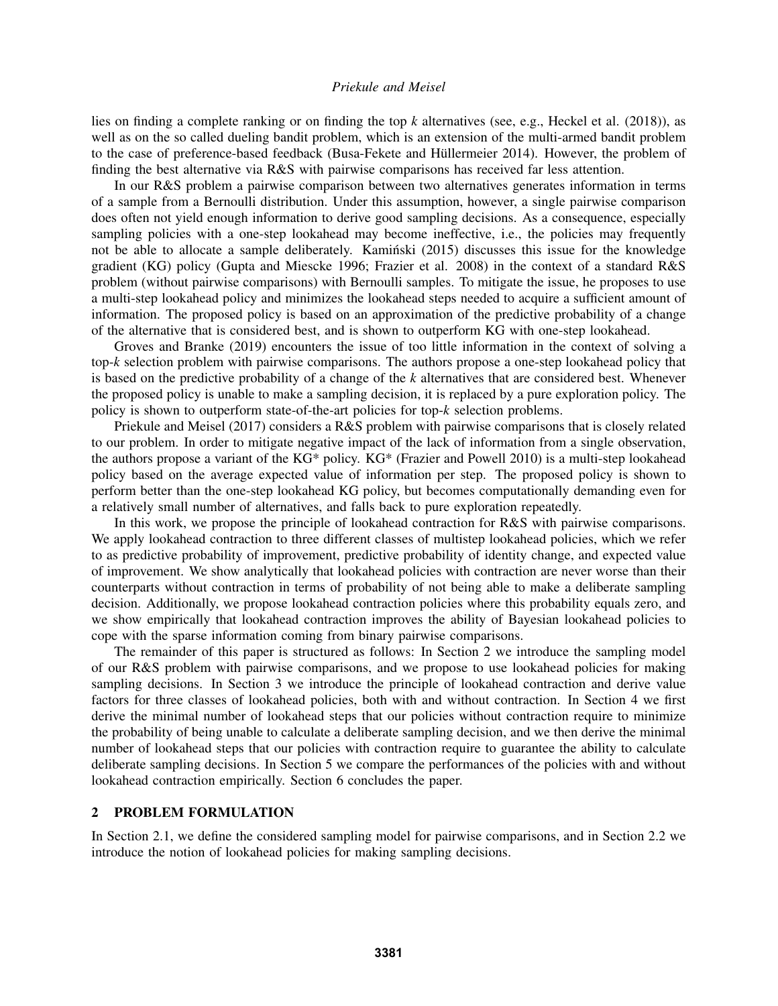lies on finding a complete ranking or on finding the top *k* alternatives (see, e.g., [Heckel et al. \(2018\)\)](#page-11-5), as well as on the so called dueling bandit problem, which is an extension of the multi-armed bandit problem to the case of preference-based feedback (Busa-Fekete and Hüllermeier 2014). However, the problem of finding the best alternative via R&S with pairwise comparisons has received far less attention.

In our R&S problem a pairwise comparison between two alternatives generates information in terms of a sample from a Bernoulli distribution. Under this assumption, however, a single pairwise comparison does often not yield enough information to derive good sampling decisions. As a consequence, especially sampling policies with a one-step lookahead may become ineffective, i.e., the policies may frequently not be able to allocate a sample deliberately. Kamiński (2015) discusses this issue for the knowledge gradient (KG) policy [\(Gupta and Miescke 1996;](#page-11-8) [Frazier et al. 2008\)](#page-11-9) in the context of a standard R&S problem (without pairwise comparisons) with Bernoulli samples. To mitigate the issue, he proposes to use a multi-step lookahead policy and minimizes the lookahead steps needed to acquire a sufficient amount of information. The proposed policy is based on an approximation of the predictive probability of a change of the alternative that is considered best, and is shown to outperform KG with one-step lookahead.

[Groves and Branke \(2019\)](#page-11-10) encounters the issue of too little information in the context of solving a top-*k* selection problem with pairwise comparisons. The authors propose a one-step lookahead policy that is based on the predictive probability of a change of the *k* alternatives that are considered best. Whenever the proposed policy is unable to make a sampling decision, it is replaced by a pure exploration policy. The policy is shown to outperform state-of-the-art policies for top-*k* selection problems.

[Priekule and Meisel \(2017\)](#page-11-11) considers a R&S problem with pairwise comparisons that is closely related to our problem. In order to mitigate negative impact of the lack of information from a single observation, the authors propose a variant of the KG\* policy. KG\* [\(Frazier and Powell 2010\)](#page-11-12) is a multi-step lookahead policy based on the average expected value of information per step. The proposed policy is shown to perform better than the one-step lookahead KG policy, but becomes computationally demanding even for a relatively small number of alternatives, and falls back to pure exploration repeatedly.

In this work, we propose the principle of lookahead contraction for R&S with pairwise comparisons. We apply lookahead contraction to three different classes of multistep lookahead policies, which we refer to as predictive probability of improvement, predictive probability of identity change, and expected value of improvement. We show analytically that lookahead policies with contraction are never worse than their counterparts without contraction in terms of probability of not being able to make a deliberate sampling decision. Additionally, we propose lookahead contraction policies where this probability equals zero, and we show empirically that lookahead contraction improves the ability of Bayesian lookahead policies to cope with the sparse information coming from binary pairwise comparisons.

The remainder of this paper is structured as follows: In Section [2](#page-1-0) we introduce the sampling model of our R&S problem with pairwise comparisons, and we propose to use lookahead policies for making sampling decisions. In Section [3](#page-3-0) we introduce the principle of lookahead contraction and derive value factors for three classes of lookahead policies, both with and without contraction. In Section [4](#page-6-0) we first derive the minimal number of lookahead steps that our policies without contraction require to minimize the probability of being unable to calculate a deliberate sampling decision, and we then derive the minimal number of lookahead steps that our policies with contraction require to guarantee the ability to calculate deliberate sampling decisions. In Section [5](#page-7-0) we compare the performances of the policies with and without lookahead contraction empirically. Section [6](#page-10-0) concludes the paper.

#### <span id="page-1-0"></span>2 PROBLEM FORMULATION

In Section [2.1,](#page-2-0) we define the considered sampling model for pairwise comparisons, and in Section [2.2](#page-2-1) we introduce the notion of lookahead policies for making sampling decisions.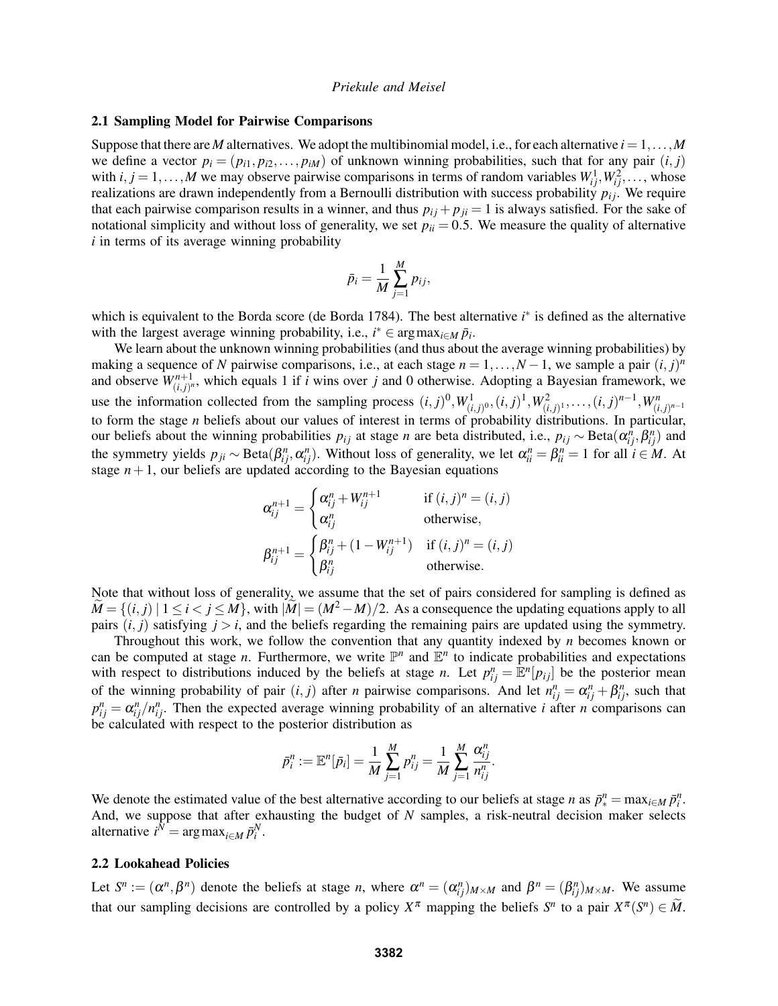#### <span id="page-2-0"></span>2.1 Sampling Model for Pairwise Comparisons

Suppose that there are *M* alternatives. We adopt the multibinomial model, i.e., for each alternative  $i = 1, \ldots, M$ we define a vector  $p_i = (p_{i1}, p_{i2}, \ldots, p_{iM})$  of unknown winning probabilities, such that for any pair  $(i, j)$ with  $i, j = 1, \ldots, M$  we may observe pairwise comparisons in terms of random variables  $W_{ij}^1, W_{ij}^2, \ldots$ , whose realizations are drawn independently from a Bernoulli distribution with success probability  $p_{ij}$ . We require that each pairwise comparison results in a winner, and thus  $p_{ij} + p_{ji} = 1$  is always satisfied. For the sake of notational simplicity and without loss of generality, we set  $p_{ii} = 0.5$ . We measure the quality of alternative *i* in terms of its average winning probability

$$
\bar{p}_i = \frac{1}{M} \sum_{j=1}^M p_{ij},
$$

which is equivalent to the Borda score [\(de Borda 1784\)](#page-11-0). The best alternative *i*<sup>\*</sup> is defined as the alternative with the largest average winning probability, i.e.,  $i^* \in \arg \max_{i \in M} \bar{p}_i$ .

We learn about the unknown winning probabilities (and thus about the average winning probabilities) by making a sequence of *N* pairwise comparisons, i.e., at each stage  $n = 1, \ldots, N - 1$ , we sample a pair  $(i, j)^n$ and observe  $W^{n+1}_{(i,j)^n}$ , which equals 1 if *i* wins over *j* and 0 otherwise. Adopting a Bayesian framework, we use the information collected from the sampling process  $(i, j)^0, W^1_{(i,j)^0}, (i, j)^1, W^2_{(i,j)^1}, \ldots, (i, j)^{n-1}, W^n_{(i,j)^{n-1}}$ to form the stage *n* beliefs about our values of interest in terms of probability distributions. In particular, our beliefs about the winning probabilities  $p_{ij}$  at stage *n* are beta distributed, i.e.,  $p_{ij} \sim Beta(\alpha_{ij}^n, \beta_{ij}^n)$  and the symmetry yields  $p_{ji} \sim \text{Beta}(\beta_{ij}^n, \alpha_{ij}^n)$ . Without loss of generality, we let  $\alpha_{ii}^n = \beta_{ii}^n = 1$  for all  $i \in M$ . At stage  $n+1$ , our beliefs are updated according to the Bayesian equations

$$
\alpha_{ij}^{n+1} = \begin{cases}\n\alpha_{ij}^n + W_{ij}^{n+1} & \text{if } (i, j)^n = (i, j) \\
\alpha_{ij}^n & \text{otherwise,} \\
\beta_{ij}^{n+1} = \begin{cases}\n\beta_{ij}^n + (1 - W_{ij}^{n+1}) & \text{if } (i, j)^n = (i, j) \\
\beta_{ij}^n & \text{otherwise.} \n\end{cases}
$$

Note that without loss of generality, we assume that the set of pairs considered for sampling is defined as  $\widetilde{M} = \{(i, j) | 1 \le i < j \le M\}$ , with  $|\widetilde{M}| = (M^2 - M)/2$ . As a consequence the updating equations apply to all pairs  $(i, j)$  satisfying  $j > i$ , and the beliefs regarding the remaining pairs are updated using the symmetry.

Throughout this work, we follow the convention that any quantity indexed by *n* becomes known or can be computed at stage *n*. Furthermore, we write  $\mathbb{P}^n$  and  $\mathbb{E}^n$  to indicate probabilities and expectations with respect to distributions induced by the beliefs at stage *n*. Let  $p_{ij}^n = \mathbb{E}^n[p_{ij}]$  be the posterior mean of the winning probability of pair  $(i, j)$  after *n* pairwise comparisons. And let  $n_{ij}^n = \alpha_{ij}^n + \beta_{ij}^n$ , such that  $p_{ij}^n = \alpha_{ij}^n / n_{ij}^n$ . Then the expected average winning probability of an alternative *i* after *n* comparisons can be calculated with respect to the posterior distribution as

$$
\bar{p}_{i}^{n} := \mathbb{E}^{n}[\bar{p}_{i}] = \frac{1}{M} \sum_{j=1}^{M} p_{ij}^{n} = \frac{1}{M} \sum_{j=1}^{M} \frac{\alpha_{ij}^{n}}{n_{ij}^{n}}.
$$

We denote the estimated value of the best alternative according to our beliefs at stage *n* as  $\bar{p}^n_* = \max_{i \in M} \bar{p}^n_i$ . And, we suppose that after exhausting the budget of *N* samples, a risk-neutral decision maker selects alternative  $i^{\overline{N}} = \arg \max_{i \in M} \overline{p}_i^N$ .

#### <span id="page-2-1"></span>2.2 Lookahead Policies

Let  $S^n := (\alpha^n, \beta^n)$  denote the beliefs at stage *n*, where  $\alpha^n = (\alpha^n_{ij})_{M \times M}$  and  $\beta^n = (\beta^n_{ij})_{M \times M}$ . We assume that our sampling decisions are controlled by a policy  $X^{\pi}$  mapping the beliefs  $S^n$  to a pair  $X^{\pi}(S^n) \in \widetilde{M}$ .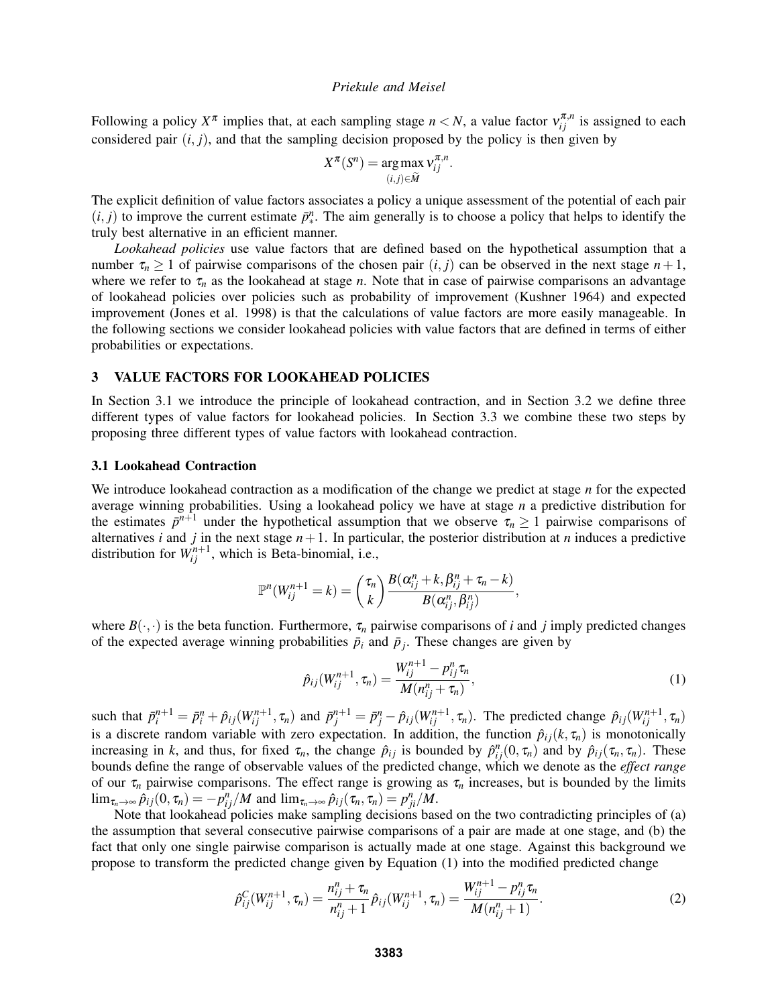Following a policy  $X^{\pi}$  implies that, at each sampling stage  $n < N$ , a value factor  $v_{ij}^{\pi,n}$  is assigned to each considered pair  $(i, j)$ , and that the sampling decision proposed by the policy is then given by

$$
X^{\pi}(S^n) = \operatorname*{arg\,max}_{(i,j)\in \widetilde{M}} v_{ij}^{\pi,n}.
$$

The explicit definition of value factors associates a policy a unique assessment of the potential of each pair  $(i, j)$  to improve the current estimate  $\bar{p}^n_*$ . The aim generally is to choose a policy that helps to identify the truly best alternative in an efficient manner.

*Lookahead policies* use value factors that are defined based on the hypothetical assumption that a number  $\tau_n \geq 1$  of pairwise comparisons of the chosen pair  $(i, j)$  can be observed in the next stage  $n+1$ , where we refer to  $\tau_n$  as the lookahead at stage *n*. Note that in case of pairwise comparisons an advantage of lookahead policies over policies such as probability of improvement [\(Kushner 1964\)](#page-11-13) and expected improvement [\(Jones et al. 1998\)](#page-11-14) is that the calculations of value factors are more easily manageable. In the following sections we consider lookahead policies with value factors that are defined in terms of either probabilities or expectations.

# <span id="page-3-0"></span>3 VALUE FACTORS FOR LOOKAHEAD POLICIES

In Section [3.1](#page-3-1) we introduce the principle of lookahead contraction, and in Section [3.2](#page-4-0) we define three different types of value factors for lookahead policies. In Section [3.3](#page-5-0) we combine these two steps by proposing three different types of value factors with lookahead contraction.

#### <span id="page-3-1"></span>3.1 Lookahead Contraction

We introduce lookahead contraction as a modification of the change we predict at stage *n* for the expected average winning probabilities. Using a lookahead policy we have at stage *n* a predictive distribution for the estimates  $\bar{p}^{n+1}$  under the hypothetical assumption that we observe  $\tau_n \geq 1$  pairwise comparisons of alternatives *i* and *j* in the next stage  $n+1$ . In particular, the posterior distribution at *n* induces a predictive distribution for  $W_{ij}^{n+1}$ , which is Beta-binomial, i.e.,

$$
\mathbb{P}^n(W_{ij}^{n+1} = k) = {\tau_n \choose k} \frac{B(\alpha_{ij}^n + k, \beta_{ij}^n + \tau_n - k)}{B(\alpha_{ij}^n, \beta_{ij}^n)},
$$

where  $B(\cdot, \cdot)$  is the beta function. Furthermore,  $\tau_n$  pairwise comparisons of *i* and *j* imply predicted changes of the expected average winning probabilities  $\bar{p}_i$  and  $\bar{p}_j$ . These changes are given by

<span id="page-3-2"></span>
$$
\hat{p}_{ij}(W_{ij}^{n+1}, \tau_n) = \frac{W_{ij}^{n+1} - p_{ij}^n \tau_n}{M(n_{ij}^n + \tau_n)},
$$
\n(1)

such that  $\bar{p}_i^{n+1} = \bar{p}_i^n + \hat{p}_{ij}(W_{ij}^{n+1}, \tau_n)$  and  $\bar{p}_j^{n+1} = \bar{p}_j^n - \hat{p}_{ij}(W_{ij}^{n+1}, \tau_n)$ . The predicted change  $\hat{p}_{ij}(W_{ij}^{n+1}, \tau_n)$ is a discrete random variable with zero expectation. In addition, the function  $\hat{p}_{ij}(k, \tau_n)$  is monotonically increasing in *k*, and thus, for fixed  $\tau_n$ , the change  $\hat{p}_{ij}$  is bounded by  $\hat{p}_{ij}^n(0, \tau_n)$  and by  $\hat{p}_{ij}(\tau_n, \tau_n)$ . These bounds define the range of observable values of the predicted change, which we denote as the *effect range* of our  $\tau_n$  pairwise comparisons. The effect range is growing as  $\tau_n$  increases, but is bounded by the limits  $\lim_{\tau_n \to \infty} \hat{p}_{ij}(0, \tau_n) = -p_{ij}^n/M$  and  $\lim_{\tau_n \to \infty} \hat{p}_{ij}(\tau_n, \tau_n) = p_{ji}^n/M$ .

Note that lookahead policies make sampling decisions based on the two contradicting principles of (a) the assumption that several consecutive pairwise comparisons of a pair are made at one stage, and (b) the fact that only one single pairwise comparison is actually made at one stage. Against this background we propose to transform the predicted change given by Equation [\(1\)](#page-3-2) into the modified predicted change

<span id="page-3-3"></span>
$$
\hat{p}_{ij}^C(W_{ij}^{n+1}, \tau_n) = \frac{n_{ij}^n + \tau_n}{n_{ij}^n + 1} \hat{p}_{ij}(W_{ij}^{n+1}, \tau_n) = \frac{W_{ij}^{n+1} - p_{ij}^n \tau_n}{M(n_{ij}^n + 1)}.
$$
\n(2)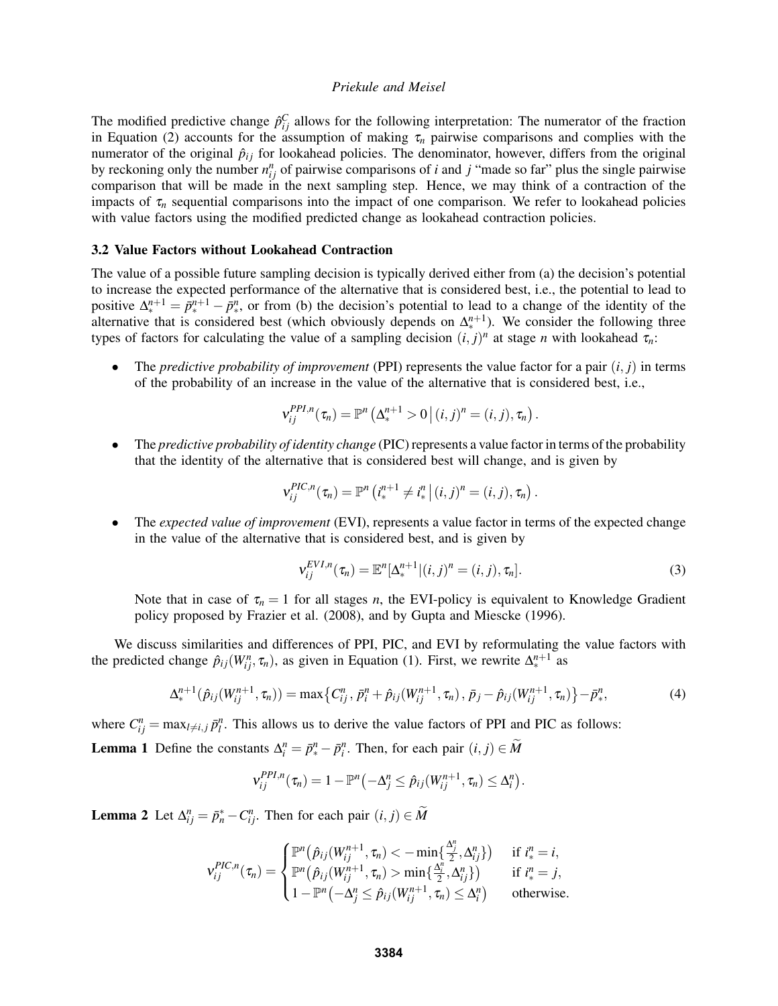The modified predictive change  $\hat{p}_{ij}^C$  allows for the following interpretation: The numerator of the fraction in Equation [\(2\)](#page-3-3) accounts for the assumption of making  $\tau_n$  pairwise comparisons and complies with the numerator of the original  $\hat{p}_{ij}$  for lookahead policies. The denominator, however, differs from the original by reckoning only the number  $n_{ij}^n$  of pairwise comparisons of *i* and *j* "made so far" plus the single pairwise comparison that will be made in the next sampling step. Hence, we may think of a contraction of the impacts of  $\tau_n$  sequential comparisons into the impact of one comparison. We refer to lookahead policies with value factors using the modified predicted change as lookahead contraction policies.

#### <span id="page-4-0"></span>3.2 Value Factors without Lookahead Contraction

The value of a possible future sampling decision is typically derived either from (a) the decision's potential to increase the expected performance of the alternative that is considered best, i.e., the potential to lead to positive  $\Delta_{*}^{n+1} = \bar{p}_{*}^{n+1} - \bar{p}_{*}^{n}$ , or from (b) the decision's potential to lead to a change of the identity of the alternative that is considered best (which obviously depends on  $\Delta_{*}^{n+1}$ ). We consider the following three types of factors for calculating the value of a sampling decision  $(i, j)^n$  at stage *n* with lookahead  $\tau_n$ :

• The *predictive probability of improvement* (PPI) represents the value factor for a pair  $(i, j)$  in terms of the probability of an increase in the value of the alternative that is considered best, i.e.,

$$
v_{ij}^{PPI,n}(\tau_n)=\mathbb{P}^n\left(\Delta_*^{n+1}>0\,\big|\,(i,j)^n=(i,j),\tau_n\right).
$$

• The *predictive probability of identity change* (PIC) represents a value factor in terms of the probability that the identity of the alternative that is considered best will change, and is given by

$$
V_{ij}^{PLC,n}(\tau_n) = \mathbb{P}^n \left( i_*^{n+1} \neq i_*^n \, \middle| \, (i,j)^n = (i,j), \tau_n \right).
$$

• The *expected value of improvement* (EVI), represents a value factor in terms of the expected change in the value of the alternative that is considered best, and is given by

<span id="page-4-3"></span>
$$
v_{ij}^{EVI,n}(\tau_n) = \mathbb{E}^n[\Delta_*^{n+1} | (i,j)^n = (i,j), \tau_n].
$$
\n(3)

Note that in case of  $\tau_n = 1$  for all stages *n*, the EVI-policy is equivalent to Knowledge Gradient policy proposed by [Frazier et al. \(2008\),](#page-11-9) and by [Gupta and Miescke \(1996\).](#page-11-8)

We discuss similarities and differences of PPI, PIC, and EVI by reformulating the value factors with the predicted change  $\hat{p}_{ij}(W_{ij}^n, \tau_n)$ , as given in Equation [\(1\)](#page-3-2). First, we rewrite  $\Delta_*^{n+1}$  as

<span id="page-4-4"></span>
$$
\Delta_{*}^{n+1}(\hat{p}_{ij}(W_{ij}^{n+1},\tau_n)) = \max\{C_{ij}^n,\,\bar{p}_i^n + \hat{p}_{ij}(W_{ij}^{n+1},\tau_n),\,\bar{p}_j - \hat{p}_{ij}(W_{ij}^{n+1},\tau_n)\} - \bar{p}_*^n,\tag{4}
$$

where  $C_{ij}^n = \max_{l \neq i, j} \bar{p}_l^n$ . This allows us to derive the value factors of PPI and PIC as follows:

<span id="page-4-1"></span>**Lemma 1** Define the constants  $\Delta_i^n = \bar{p}_i^n - \bar{p}_i^n$ . Then, for each pair  $(i, j) \in \widetilde{M}$ 

$$
v_{ij}^{PPI,n}(\tau_n)=1-\mathbb{P}^n(-\Delta_j^n\leq \hat{p}_{ij}(W_{ij}^{n+1},\tau_n)\leq \Delta_i^n).
$$

<span id="page-4-2"></span>**Lemma 2** Let  $\Delta_{ij}^n = \bar{p}_n^* - C_{ij}^n$ . Then for each pair  $(i, j) \in \widetilde{M}$ 

$$
v_{ij}^{PLC,n}(\tau_n) = \begin{cases} \mathbb{P}^n\big(\hat{p}_{ij}(W_{ij}^{n+1}, \tau_n) < -\min\{\frac{\Delta_j^n}{2}, \Delta_{ij}^n\} \big) & \text{if } i^n_* = i, \\ \mathbb{P}^n\big(\hat{p}_{ij}(W_{ij}^{n+1}, \tau_n) > \min\{\frac{\Delta_i^n}{2}, \Delta_{ij}^n\} \big) & \text{if } i^n_* = j, \\ 1 - \mathbb{P}^n\big(-\Delta_j^n \le \hat{p}_{ij}(W_{ij}^{n+1}, \tau_n) \le \Delta_i^n\big) & \text{otherwise.} \end{cases}
$$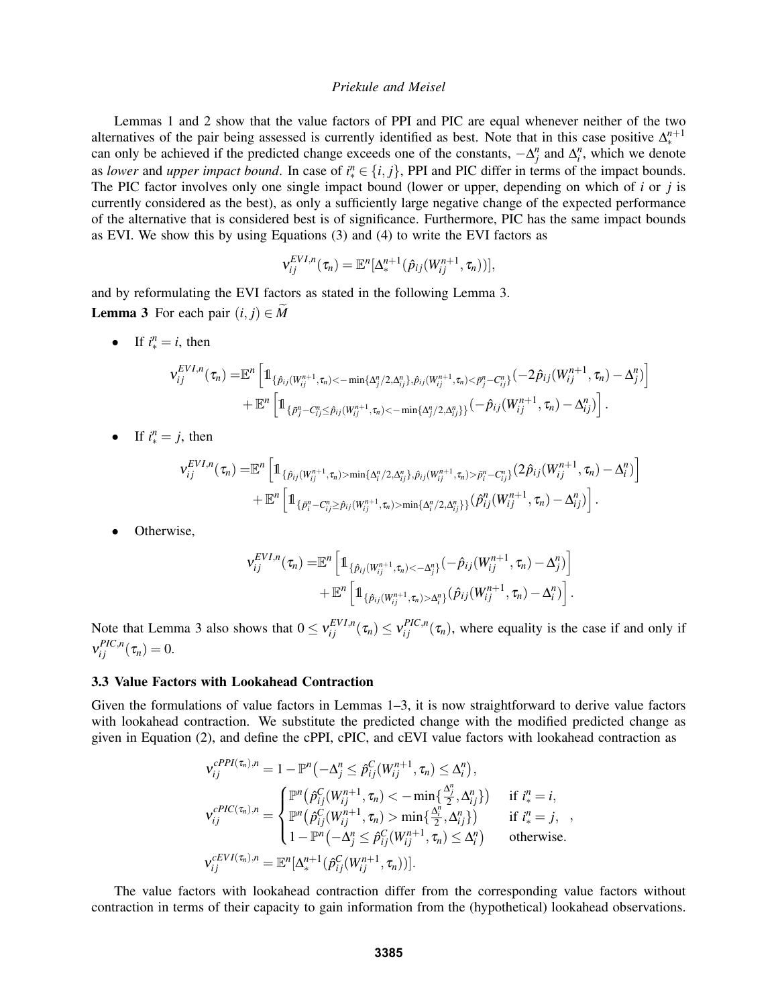Lemmas [1](#page-4-1) and [2](#page-4-2) show that the value factors of PPI and PIC are equal whenever neither of the two alternatives of the pair being assessed is currently identified as best. Note that in this case positive  $\Delta_*^{n+1}$ can only be achieved if the predicted change exceeds one of the constants,  $-\Delta_j^n$  and  $\Delta_i^n$ , which we denote as *lower* and *upper impact bound*. In case of  $i^n_* \in \{i, j\}$ , PPI and PIC differ in terms of the impact bounds. The PIC factor involves only one single impact bound (lower or upper, depending on which of *i* or *j* is currently considered as the best), as only a sufficiently large negative change of the expected performance of the alternative that is considered best is of significance. Furthermore, PIC has the same impact bounds as EVI. We show this by using Equations [\(3\)](#page-4-3) and [\(4\)](#page-4-4) to write the EVI factors as

$$
v_{ij}^{EVI,n}(\tau_n)=\mathbb{E}^n[\Delta_*^{n+1}(\hat{p}_{ij}(W_{ij}^{n+1},\tau_n))],
$$

<span id="page-5-1"></span>and by reformulating the EVI factors as stated in the following Lemma [3.](#page-5-1) **Lemma 3** For each pair  $(i, j) \in M$ 

• If  $i^n_*=i$ , then

$$
v_{ij}^{EVI,n}(\tau_n) = \mathbb{E}^n \left[ \mathbb{1}_{\{\hat{p}_{ij}(W_{ij}^{n+1}, \tau_n) < -\min\{\Delta_j^n/2, \Delta_{ij}^n\}, \hat{p}_{ij}(W_{ij}^{n+1}, \tau_n) < \bar{p}_j^n - C_{ij}^n\}} (-2\hat{p}_{ij}(W_{ij}^{n+1}, \tau_n) - \Delta_j^n) \right] + \mathbb{E}^n \left[ \mathbb{1}_{\{\bar{p}_j^n - C_{ij}^n \leq \hat{p}_{ij}(W_{ij}^{n+1}, \tau_n) < -\min\{\Delta_j^n/2, \Delta_{ij}^n\}\}} (-\hat{p}_{ij}(W_{ij}^{n+1}, \tau_n) - \Delta_{ij}^n) \right].
$$

• If  $i^n_* = j$ , then

$$
v_{ij}^{EVI,n}(\tau_n) = \mathbb{E}^n \left[ \mathbb{1}_{\{\hat{p}_{ij}(W_{ij}^{n+1}, \tau_n) > \min\{\Delta_i^n/2, \Delta_{ij}^n\}, \hat{p}_{ij}(W_{ij}^{n+1}, \tau_n) > \bar{p}_i^n - C_{ij}^n\}} (2\hat{p}_{ij}(W_{ij}^{n+1}, \tau_n) - \Delta_i^n) \right] + \mathbb{E}^n \left[ \mathbb{1}_{\{\bar{p}_i^n - C_{ij}^n \geq \hat{p}_{ij}(W_{ij}^{n+1}, \tau_n) > \min\{\Delta_i^n/2, \Delta_{ij}^n\}\}} (\hat{p}_{ij}^n(W_{ij}^{n+1}, \tau_n) - \Delta_{ij}^n) \right].
$$

Otherwise,

$$
\begin{split} \mathbf{v}_{ij}^{EVI,n}(\tau_n) = & \mathbb{E}^n \left[ \mathbb{1}_{\{\hat{p}_{ij}(W_{ij}^{n+1}, \tau_n) < -\Delta_j^n\}} (-\hat{p}_{ij}(W_{ij}^{n+1}, \tau_n) - \Delta_j^n) \right] \\ &+ \mathbb{E}^n \left[ \mathbb{1}_{\{\hat{p}_{ij}(W_{ij}^{n+1}, \tau_n) > \Delta_i^n\}} (\hat{p}_{ij}(W_{ij}^{n+1}, \tau_n) - \Delta_i^n) \right]. \end{split}
$$

Note that Lemma [3](#page-5-1) also shows that  $0 \le v_{ij}^{EVI,n}(\tau_n) \le v_{ij}^{PIC,n}(\tau_n)$ , where equality is the case if and only if  $v_{ij}^{PLC,n}(\tau_n)=0.$ 

#### <span id="page-5-0"></span>3.3 Value Factors with Lookahead Contraction

Given the formulations of value factors in Lemmas [1](#page-4-1)[–3,](#page-5-1) it is now straightforward to derive value factors with lookahead contraction. We substitute the predicted change with the modified predicted change as given in Equation [\(2\)](#page-3-3), and define the cPPI, cPIC, and cEVI value factors with lookahead contraction as

$$
v_{ij}^{cPPI(\tau_n),n} = 1 - \mathbb{P}^n(-\Delta_j^n \leq \hat{p}_{ij}^C(W_{ij}^{n+1}, \tau_n) \leq \Delta_i^n),
$$
  
\n
$$
v_{ij}^{cPPI(\tau_n),n} = \begin{cases} \mathbb{P}^n(\hat{p}_{ij}^C(W_{ij}^{n+1}, \tau_n) < -\min\{\frac{\Delta_j^n}{2}, \Delta_{ij}^n\}) & \text{if } i^n_* = i, \\ \mathbb{P}^n(\hat{p}_{ij}^C(W_{ij}^{n+1}, \tau_n) > \min\{\frac{\Delta_i^n}{2}, \Delta_{ij}^n\}) & \text{if } i^n_* = j, \\ 1 - \mathbb{P}^n(-\Delta_j^n \leq \hat{p}_{ij}^C(W_{ij}^{n+1}, \tau_n) \leq \Delta_i^n) & \text{otherwise.} \end{cases}
$$
  
\n
$$
v_{ij}^{cEVI(\tau_n),n} = \mathbb{E}^n[\Delta_i^{n+1}(\hat{p}_{ij}^C(W_{ij}^{n+1}, \tau_n))].
$$

The value factors with lookahead contraction differ from the corresponding value factors without contraction in terms of their capacity to gain information from the (hypothetical) lookahead observations.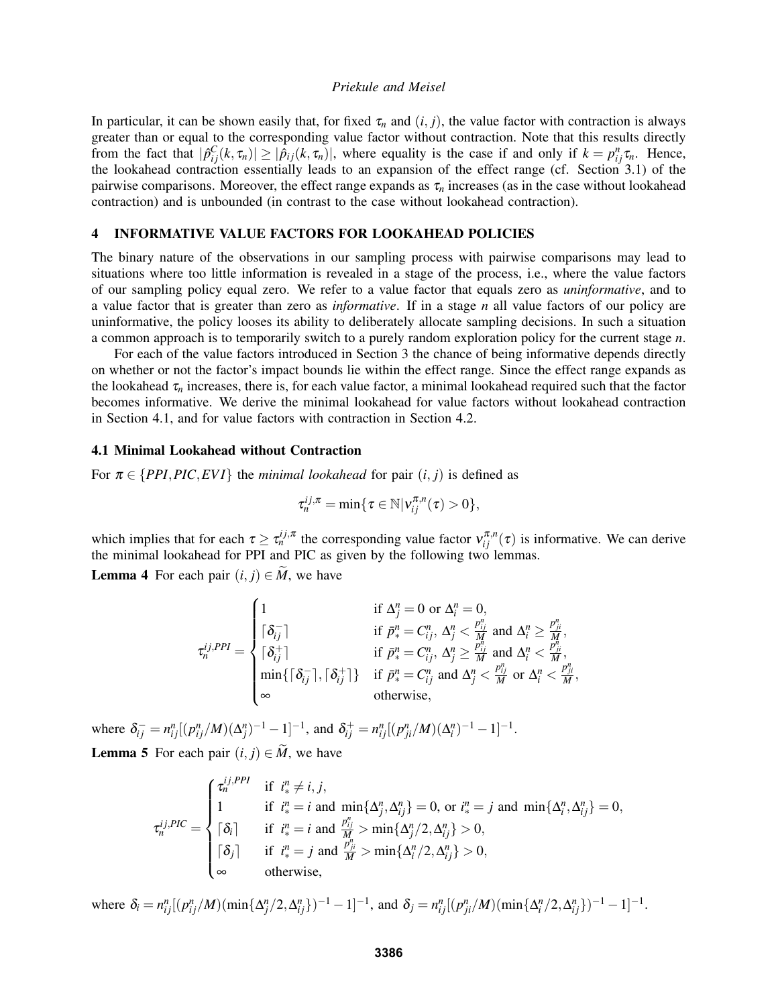In particular, it can be shown easily that, for fixed  $\tau_n$  and  $(i, j)$ , the value factor with contraction is always greater than or equal to the corresponding value factor without contraction. Note that this results directly from the fact that  $|\hat{p}_{ij}^C(k,\tau_n)| \geq |\hat{p}_{ij}(k,\tau_n)|$ , where equality is the case if and only if  $k = p_{ij}^n \tau_n$ . Hence, the lookahead contraction essentially leads to an expansion of the effect range (cf. Section [3.1\)](#page-3-1) of the pairwise comparisons. Moreover, the effect range expands as  $\tau_n$  increases (as in the case without lookahead contraction) and is unbounded (in contrast to the case without lookahead contraction).

# <span id="page-6-0"></span>4 INFORMATIVE VALUE FACTORS FOR LOOKAHEAD POLICIES

The binary nature of the observations in our sampling process with pairwise comparisons may lead to situations where too little information is revealed in a stage of the process, i.e., where the value factors of our sampling policy equal zero. We refer to a value factor that equals zero as *uninformative*, and to a value factor that is greater than zero as *informative*. If in a stage *n* all value factors of our policy are uninformative, the policy looses its ability to deliberately allocate sampling decisions. In such a situation a common approach is to temporarily switch to a purely random exploration policy for the current stage *n*.

For each of the value factors introduced in Section [3](#page-3-0) the chance of being informative depends directly on whether or not the factor's impact bounds lie within the effect range. Since the effect range expands as the lookahead  $\tau_n$  increases, there is, for each value factor, a minimal lookahead required such that the factor becomes informative. We derive the minimal lookahead for value factors without lookahead contraction in Section [4.1,](#page-6-1) and for value factors with contraction in Section [4.2.](#page-7-1)

#### <span id="page-6-1"></span>4.1 Minimal Lookahead without Contraction

For 
$$
\pi \in \{PPI, PIC, EVI\}
$$
 the minimal look ahead for pair  $(i, j)$  is defined as

$$
\tau_n^{ij,\pi} = \min \{ \tau \in \mathbb{N} | v_{ij}^{\pi,n}(\tau) > 0 \},
$$

which implies that for each  $\tau \ge \tau_n^{ij,\pi}$  the corresponding value factor  $v_{ij}^{\pi,n}(\tau)$  is informative. We can derive the minimal lookahead for PPI and PIC as given by the following two lemmas.

<span id="page-6-2"></span>**Lemma 4** For each pair 
$$
(i, j) \in M
$$
, we have

$$
\tau_n^{ij,PPI} = \begin{cases}\n1 & \text{if } \Delta_j^n = 0 \text{ or } \Delta_i^n = 0, \\
\lceil \delta_{ij}^- \rceil & \text{if } \bar{p}_*^n = C_{ij}^n, \Delta_j^n < \frac{p_{ij}^n}{M} \text{ and } \Delta_i^n \ge \frac{p_{ji}^n}{M}, \\
\lceil \delta_{ij}^+ \rceil & \text{if } \bar{p}_*^n = C_{ij}^n, \Delta_j^n \ge \frac{p_{ij}^n}{M} \text{ and } \Delta_i^n < \frac{p_{ji}^n}{M}, \\
\min\{\lceil \delta_{ij}^- \rceil, \lceil \delta_{ij}^+ \rceil\} & \text{if } \bar{p}_*^n = C_{ij}^n \text{ and } \Delta_j^n < \frac{p_{ij}^n}{M} \text{ or } \Delta_i^n < \frac{p_{ji}^n}{M}, \\
\infty & \text{otherwise,} \n\end{cases}
$$

<span id="page-6-3"></span>where  $\delta_{ij}^- = n_{ij}^n [ (p_{ij}^n/M) (\Delta_j^n)^{-1} - 1 ]^{-1}$ , and  $\delta_{ij}^+ = n_{ij}^n [ (p_{ji}^n/M) (\Delta_i^n)^{-1} - 1 ]^{-1}$ . **Lemma 5** For each pair  $(i, j) \in M$ , we have

$$
\tau_n^{ij,PIC} = \begin{cases}\n\tau_n^{ij,PPI} & \text{if } i_*^n \neq i, j, \\
1 & \text{if } i_*^n = i \text{ and } \min\{\Delta_j^n, \Delta_{ij}^n\} = 0, \text{ or } i_*^n = j \text{ and } \min\{\Delta_i^n, \Delta_{ij}^n\} = 0, \\
\lceil \delta_i \rceil & \text{if } i_*^n = i \text{ and } \frac{p_{ij}^n}{M} > \min\{\Delta_j^n/2, \Delta_{ij}^n\} > 0, \\
\lceil \delta_j \rceil & \text{if } i_*^n = j \text{ and } \frac{p_{ji}^n}{M} > \min\{\Delta_i^n/2, \Delta_{ij}^n\} > 0, \\
\infty & \text{otherwise,} \n\end{cases}
$$

where  $\delta_i = n_{ij}^n [ (p_{ij}^n/M)(\min{\{\Delta_j^n/2, \Delta_{ij}^n\}})^{-1} - 1]^{-1}$ , and  $\delta_j = n_{ij}^n [ (p_{ji}^n/M)(\min{\{\Delta_i^n/2, \Delta_{ij}^n\}})^{-1} - 1]^{-1}$ .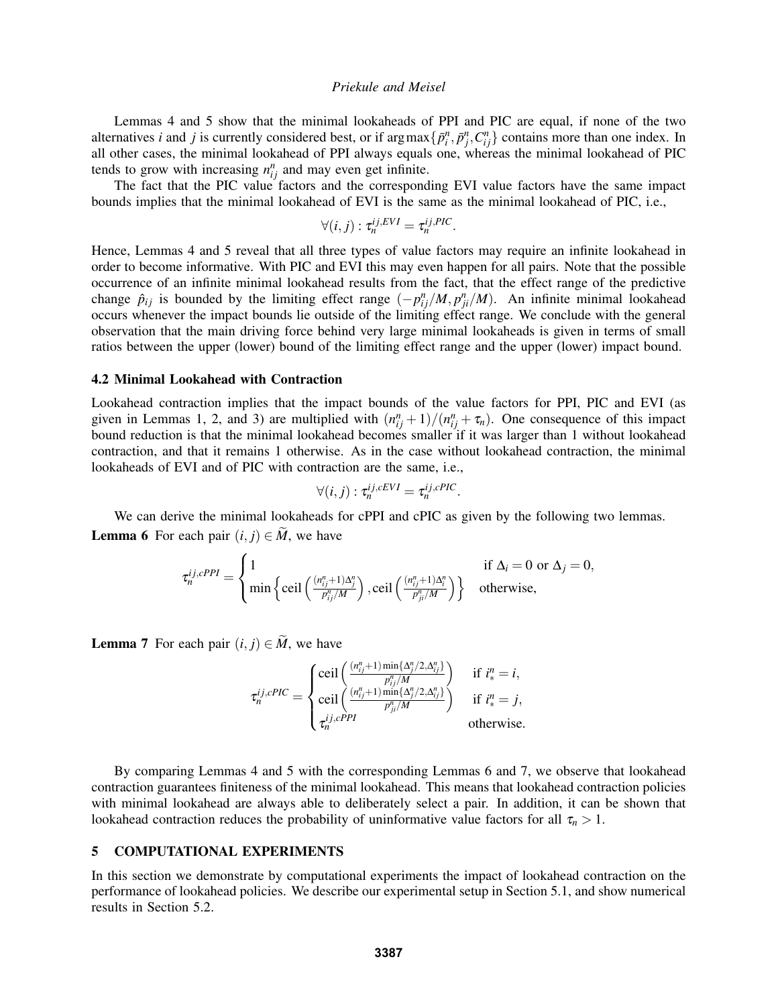Lemmas [4](#page-6-2) and [5](#page-6-3) show that the minimal lookaheads of PPI and PIC are equal, if none of the two alternatives *i* and *j* is currently considered best, or if argmax $\{\bar{p}_i^n, \bar{p}_j^n, C_{ij}^n\}$  contains more than one index. In all other cases, the minimal lookahead of PPI always equals one, whereas the minimal lookahead of PIC tends to grow with increasing  $n_{ij}^n$  and may even get infinite.

The fact that the PIC value factors and the corresponding EVI value factors have the same impact bounds implies that the minimal lookahead of EVI is the same as the minimal lookahead of PIC, i.e.,

$$
\forall (i,j): \tau_n^{ij,EVI} = \tau_n^{ij,PIC}.
$$

Hence, Lemmas [4](#page-6-2) and [5](#page-6-3) reveal that all three types of value factors may require an infinite lookahead in order to become informative. With PIC and EVI this may even happen for all pairs. Note that the possible occurrence of an infinite minimal lookahead results from the fact, that the effect range of the predictive change  $\hat{p}_{ij}$  is bounded by the limiting effect range  $(-p_{ij}^n/M, p_{ji}^n/M)$ . An infinite minimal lookahead occurs whenever the impact bounds lie outside of the limiting effect range. We conclude with the general observation that the main driving force behind very large minimal lookaheads is given in terms of small ratios between the upper (lower) bound of the limiting effect range and the upper (lower) impact bound.

### <span id="page-7-1"></span>4.2 Minimal Lookahead with Contraction

Lookahead contraction implies that the impact bounds of the value factors for PPI, PIC and EVI (as given in Lemmas [1,](#page-4-1) [2,](#page-4-2) and [3\)](#page-5-1) are multiplied with  $(n_{ij}^n + 1)/(n_{ij}^n + \tau_n)$ . One consequence of this impact bound reduction is that the minimal lookahead becomes smaller if it was larger than 1 without lookahead contraction, and that it remains 1 otherwise. As in the case without lookahead contraction, the minimal lookaheads of EVI and of PIC with contraction are the same, i.e.,

$$
\forall (i,j): \tau_n^{ij,cEVI} = \tau_n^{ij,cPIC}.
$$

<span id="page-7-2"></span>We can derive the minimal lookaheads for cPPI and cPIC as given by the following two lemmas. **Lemma 6** For each pair  $(i, j) \in M$ , we have

$$
\tau_n^{ij,cPPI} = \begin{cases} 1 & \text{if } \Delta_i = 0 \text{ or } \Delta_j = 0, \\ \min \left\{ \text{ceil} \left( \frac{(n_{ij}^n + 1)\Delta_j^n}{p_{ij}^n / M} \right), \text{ceil} \left( \frac{(n_{ij}^n + 1)\Delta_i^n}{p_{ji}^n / M} \right) \right\} & \text{otherwise,} \end{cases}
$$

<span id="page-7-3"></span>**Lemma 7** For each pair  $(i, j) \in \widetilde{M}$ , we have

$$
\tau_n^{ij,cPLC} = \begin{cases} \text{ceil}\left(\frac{(n_{ij}^n+1)\min\{\Delta_j^n/2,\Delta_{ij}^n\}}{p_{ij}^n/M}\right) & \text{if } i_*^n = i, \\ \text{ceil}\left(\frac{(n_{ij}^n+1)\min\{\Delta_j^n/2,\Delta_{ij}^n\}}{p_{ji}^n/M}\right) & \text{if } i_*^n = j, \\ \tau_n^{ij,cPPI} & \text{otherwise.} \end{cases}
$$

By comparing Lemmas [4](#page-6-2) and [5](#page-6-3) with the corresponding Lemmas [6](#page-7-2) and [7,](#page-7-3) we observe that lookahead contraction guarantees finiteness of the minimal lookahead. This means that lookahead contraction policies with minimal lookahead are always able to deliberately select a pair. In addition, it can be shown that lookahead contraction reduces the probability of uninformative value factors for all  $\tau_n > 1$ .

## <span id="page-7-0"></span>5 COMPUTATIONAL EXPERIMENTS

In this section we demonstrate by computational experiments the impact of lookahead contraction on the performance of lookahead policies. We describe our experimental setup in Section [5.1,](#page-8-0) and show numerical results in Section [5.2.](#page-8-1)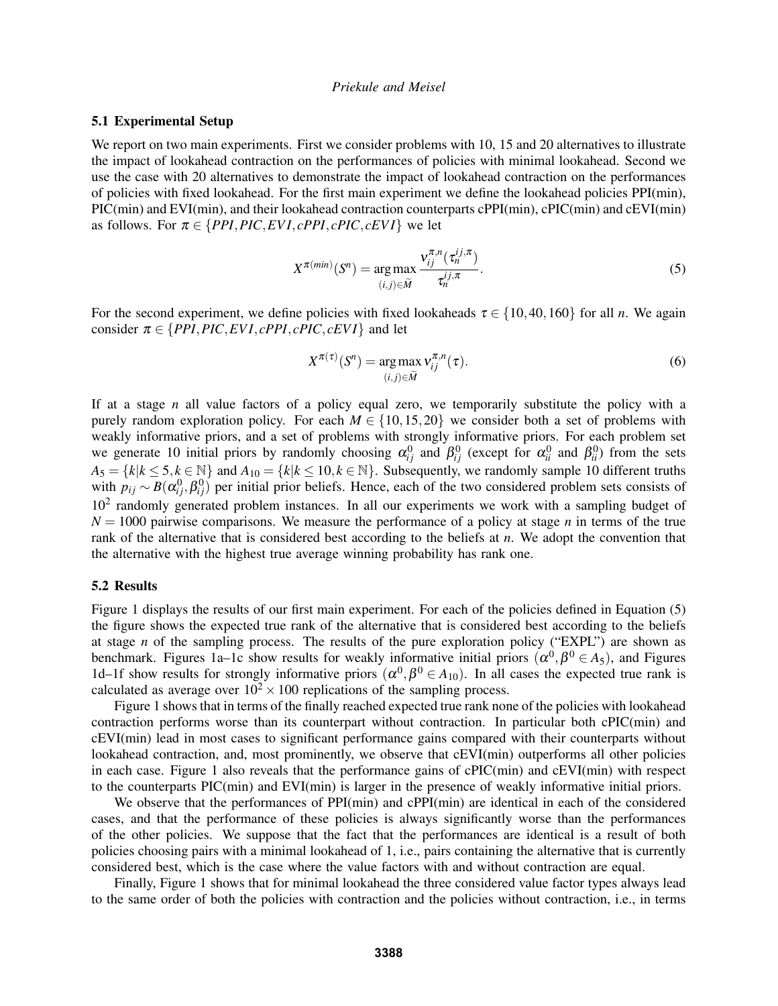# <span id="page-8-0"></span>5.1 Experimental Setup

We report on two main experiments. First we consider problems with 10, 15 and 20 alternatives to illustrate the impact of lookahead contraction on the performances of policies with minimal lookahead. Second we use the case with 20 alternatives to demonstrate the impact of lookahead contraction on the performances of policies with fixed lookahead. For the first main experiment we define the lookahead policies PPI(min), PIC(min) and EVI(min), and their lookahead contraction counterparts cPPI(min), cPIC(min) and cEVI(min) as follows. For  $\pi \in \{PPI, PIC, EVI, cPPI, cPIC, cEVI\}$  we let

$$
X^{\pi(min)}(S^n) = \underset{(i,j)\in\widetilde{M}}{\arg\max} \frac{\mathsf{v}_{ij}^{\pi,n}(\tau_n^{ij,\pi})}{\tau_n^{ij,\pi}}.
$$
\n
$$
(5)
$$

For the second experiment, we define policies with fixed lookaheads  $\tau \in \{10, 40, 160\}$  for all *n*. We again consider  $\pi \in \{PPI, PIC, EVI, cPPI, cPIC, cEVI\}$  and let

<span id="page-8-3"></span><span id="page-8-2"></span>
$$
X^{\pi(\tau)}(S^n) = \underset{(i,j)\in \widetilde{M}}{\arg \max } \, V_{ij}^{\pi,n}(\tau). \tag{6}
$$

If at a stage *n* all value factors of a policy equal zero, we temporarily substitute the policy with a purely random exploration policy. For each  $M \in \{10, 15, 20\}$  we consider both a set of problems with weakly informative priors, and a set of problems with strongly informative priors. For each problem set we generate 10 initial priors by randomly choosing  $\alpha_{ij}^0$  and  $\beta_{ij}^0$  (except for  $\alpha_{ii}^0$  and  $\beta_{ii}^0$ ) from the sets  $A_5 = \{k | k \le 5, k \in \mathbb{N}\}\$  and  $A_{10} = \{k | k \le 10, k \in \mathbb{N}\}\$ . Subsequently, we randomly sample 10 different truths with  $p_{ij} \sim B(\alpha_{ij}^0, \beta_{ij}^0)$  per initial prior beliefs. Hence, each of the two considered problem sets consists of 10<sup>2</sup> randomly generated problem instances. In all our experiments we work with a sampling budget of  $N = 1000$  pairwise comparisons. We measure the performance of a policy at stage *n* in terms of the true rank of the alternative that is considered best according to the beliefs at *n*. We adopt the convention that the alternative with the highest true average winning probability has rank one.

#### <span id="page-8-1"></span>5.2 Results

Figure [1](#page-9-0) displays the results of our first main experiment. For each of the policies defined in Equation [\(5\)](#page-8-2) the figure shows the expected true rank of the alternative that is considered best according to the beliefs at stage *n* of the sampling process. The results of the pure exploration policy ("EXPL") are shown as benchmark. Figures [1a](#page-9-1)[–1c](#page-9-2) show results for weakly informative initial priors  $(\alpha^0, \beta^0 \in A_5)$ , and Figures [1d](#page-9-3)[–1f](#page-9-4) show results for strongly informative priors  $(\alpha^0, \beta^0 \in A_{10})$ . In all cases the expected true rank is calculated as average over  $10^2 \times 100$  replications of the sampling process.

Figure [1](#page-9-0) shows that in terms of the finally reached expected true rank none of the policies with lookahead contraction performs worse than its counterpart without contraction. In particular both cPIC(min) and cEVI(min) lead in most cases to significant performance gains compared with their counterparts without lookahead contraction, and, most prominently, we observe that cEVI(min) outperforms all other policies in each case. Figure [1](#page-9-0) also reveals that the performance gains of cPIC(min) and cEVI(min) with respect to the counterparts PIC(min) and EVI(min) is larger in the presence of weakly informative initial priors.

We observe that the performances of PPI(min) and cPPI(min) are identical in each of the considered cases, and that the performance of these policies is always significantly worse than the performances of the other policies. We suppose that the fact that the performances are identical is a result of both policies choosing pairs with a minimal lookahead of 1, i.e., pairs containing the alternative that is currently considered best, which is the case where the value factors with and without contraction are equal.

Finally, Figure [1](#page-9-0) shows that for minimal lookahead the three considered value factor types always lead to the same order of both the policies with contraction and the policies without contraction, i.e., in terms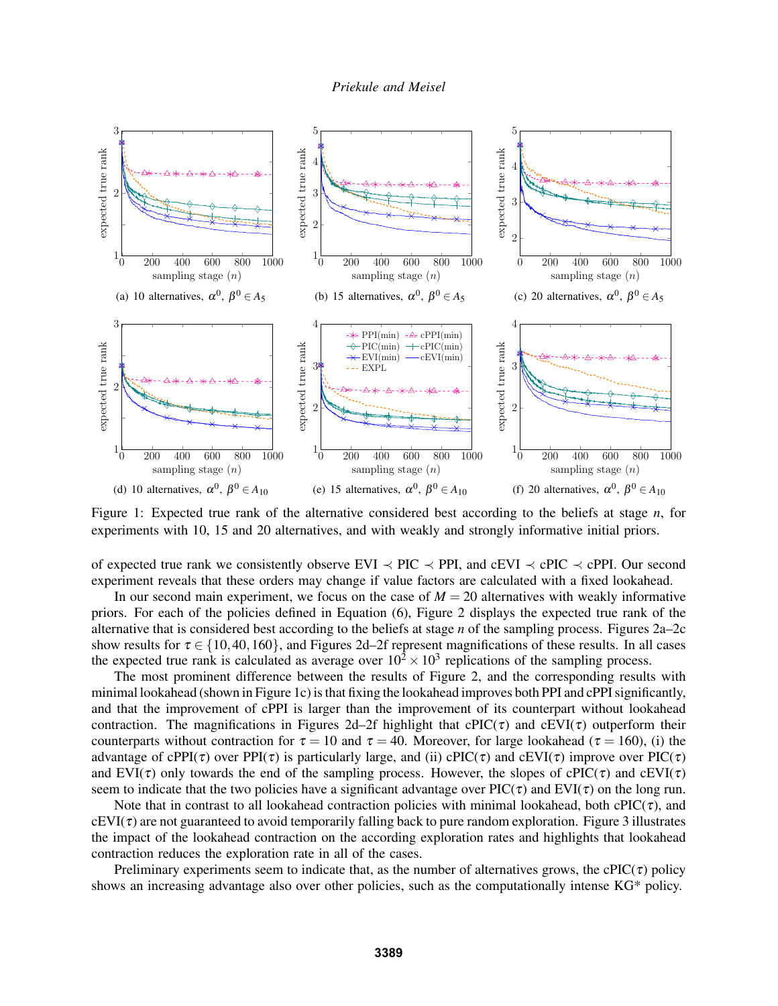<span id="page-9-3"></span><span id="page-9-2"></span><span id="page-9-1"></span><span id="page-9-0"></span>

<span id="page-9-4"></span>Figure 1: Expected true rank of the alternative considered best according to the beliefs at stage *n*, for experiments with 10, 15 and 20 alternatives, and with weakly and strongly informative initial priors.

of expected true rank we consistently observe EVI  $\prec$  PIC  $\prec$  PPI, and cEVI  $\prec$  cPIC  $\prec$  cPPI. Our second experiment reveals that these orders may change if value factors are calculated with a fixed lookahead.

In our second main experiment, we focus on the case of  $M = 20$  alternatives with weakly informative priors. For each of the policies defined in Equation [\(6\)](#page-8-3), Figure [2](#page-10-1) displays the expected true rank of the alternative that is considered best according to the beliefs at stage *n* of the sampling process. Figures [2a–](#page-10-2)[2c](#page-10-3) show results for  $\tau \in \{10, 40, 160\}$ , and Figures [2d](#page-10-4)[–2f](#page-10-5) represent magnifications of these results. In all cases the expected true rank is calculated as average over  $10^2 \times 10^3$  replications of the sampling process.

The most prominent difference between the results of Figure [2,](#page-10-1) and the corresponding results with minimal lookahead (shown in Figure [1c\)](#page-9-2) is that fixing the lookahead improves both PPI and cPPI significantly, and that the improvement of cPPI is larger than the improvement of its counterpart without lookahead contraction. The magnifications in Figures [2d](#page-10-4)[–2f](#page-10-5) highlight that  $cPIC(\tau)$  and  $cEVI(\tau)$  outperform their counterparts without contraction for  $\tau = 10$  and  $\tau = 40$ . Moreover, for large lookahead ( $\tau = 160$ ), (i) the advantage of cPPI( $\tau$ ) over PPI( $\tau$ ) is particularly large, and (ii) cPIC( $\tau$ ) and cEVI( $\tau$ ) improve over PIC( $\tau$ ) and EVI( $\tau$ ) only towards the end of the sampling process. However, the slopes of cPIC( $\tau$ ) and cEVI( $\tau$ ) seem to indicate that the two policies have a significant advantage over  $\text{PIC}(\tau)$  and  $\text{EVI}(\tau)$  on the long run.

Note that in contrast to all lookahead contraction policies with minimal lookahead, both cPIC( $\tau$ ), and  $cEVI(\tau)$  are not guaranteed to avoid temporarily falling back to pure random exploration. Figure [3](#page-10-6) illustrates the impact of the lookahead contraction on the according exploration rates and highlights that lookahead contraction reduces the exploration rate in all of the cases.

Preliminary experiments seem to indicate that, as the number of alternatives grows, the cPIC( $\tau$ ) policy shows an increasing advantage also over other policies, such as the computationally intense KG\* policy.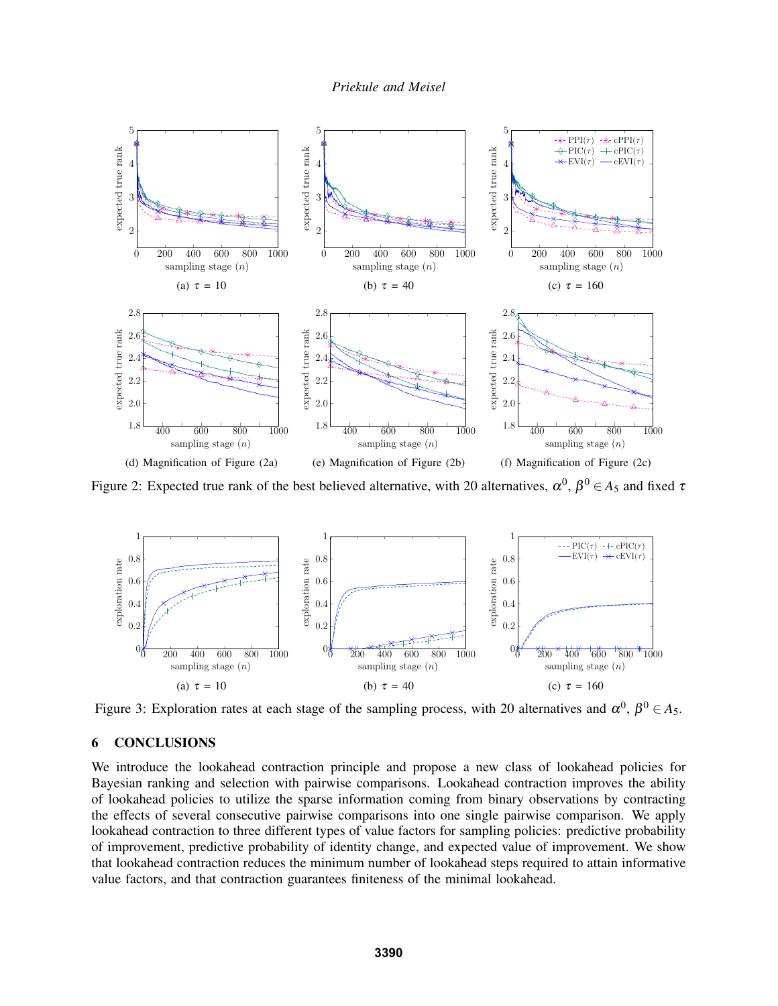<span id="page-10-4"></span><span id="page-10-3"></span><span id="page-10-2"></span><span id="page-10-1"></span>

Figure 2: Expected true rank of the best believed alternative, with 20 alternatives,  $\alpha^0$ ,  $\beta^0$   $\in$  A<sub>5</sub> and fixed  $\tau$ 

<span id="page-10-6"></span><span id="page-10-5"></span>

Figure 3: Exploration rates at each stage of the sampling process, with 20 alternatives and  $\alpha^0$ ,  $\beta^0 \in A_5$ .

# <span id="page-10-0"></span>6 CONCLUSIONS

We introduce the lookahead contraction principle and propose a new class of lookahead policies for Bayesian ranking and selection with pairwise comparisons. Lookahead contraction improves the ability of lookahead policies to utilize the sparse information coming from binary observations by contracting the effects of several consecutive pairwise comparisons into one single pairwise comparison. We apply lookahead contraction to three different types of value factors for sampling policies: predictive probability of improvement, predictive probability of identity change, and expected value of improvement. We show that lookahead contraction reduces the minimum number of lookahead steps required to attain informative value factors, and that contraction guarantees finiteness of the minimal lookahead.